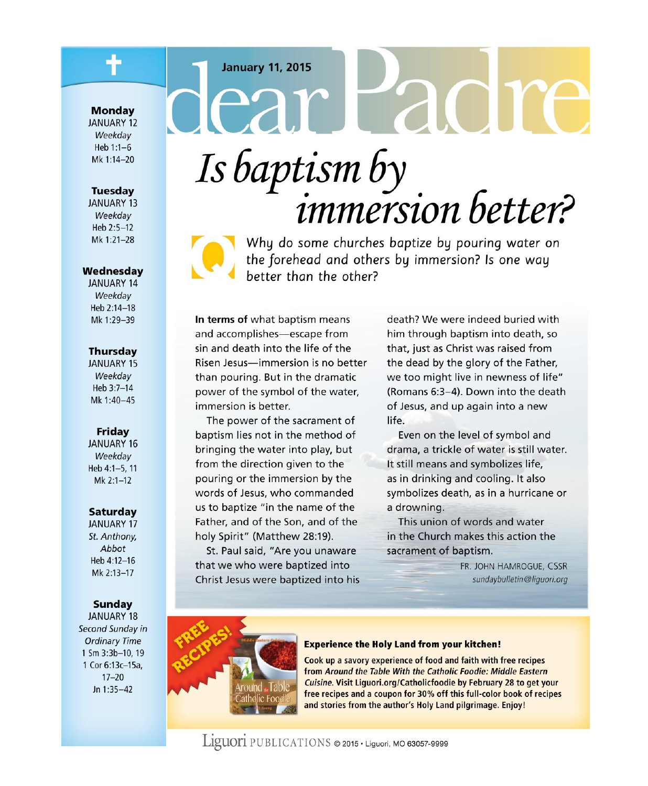### **January 11, 2015**

#### **Monday**

**JANUARY 12** Weekday Heb 1:1-6 Mk 1:14-20

### **Tuesday**

**JANUARY 13** Weekdav Heb 2:5-12 Mk 1:21-28

### Wednesdav

**JANUARY 14** Weekdav Heb 2:14-18 Mk 1:29-39

### **Thursday**

**JANUARY 15** Weekday Heb 3:7-14 Mk 1:40-45

### Friday

JANUARY 16 Weekday Heb 4:1-5, 11  $Mk$  2:1-12

### **Saturday**

**JANUARY 17** St. Anthony, Abbot Heb 4:12-16 Mk 2:13-17

### Sunday

**JANUARY 18** Second Sunday in **Ordinary Time** 1 Sm 3:3b-10, 19 1 Cor 6:13c-15a,  $17 - 20$ Jn  $1:35-42$ 

# dear Padre Is baptism by *immersion* better?



Why do some churches baptize by pouring water on the forehead and others by immersion? Is one way hetter than the other?

In terms of what baptism means and accomplishes-escape from sin and death into the life of the Risen Jesus-immersion is no better than pouring. But in the dramatic power of the symbol of the water, immersion is better.

The power of the sacrament of baptism lies not in the method of bringing the water into play, but from the direction given to the pouring or the immersion by the words of Jesus, who commanded us to baptize "in the name of the Father, and of the Son, and of the holy Spirit" (Matthew 28:19).

St. Paul said, "Are you unaware that we who were baptized into Christ Jesus were baptized into his death? We were indeed buried with him through baptism into death, so that, just as Christ was raised from the dead by the glory of the Father, we too might live in newness of life" (Romans 6:3-4). Down into the death of Jesus, and up again into a new life.

Even on the level of symbol and drama, a trickle of water is still water. It still means and symbolizes life, as in drinking and cooling. It also symbolizes death, as in a hurricane or a drowning.

This union of words and water in the Church makes this action the sacrament of baptism.

> FR. JOHN HAMROGUE, CSSR sundaybulletin@liquori.org



#### **Experience the Holy Land from your kitchen!**

Cook up a savory experience of food and faith with free recipes from Around the Table With the Catholic Foodie: Middle Eastern Cuisine. Visit Liquori.org/Catholicfoodie by February 28 to get your free recipes and a coupon for 30% off this full-color book of recipes and stories from the author's Holy Land pilgrimage. Enjoy!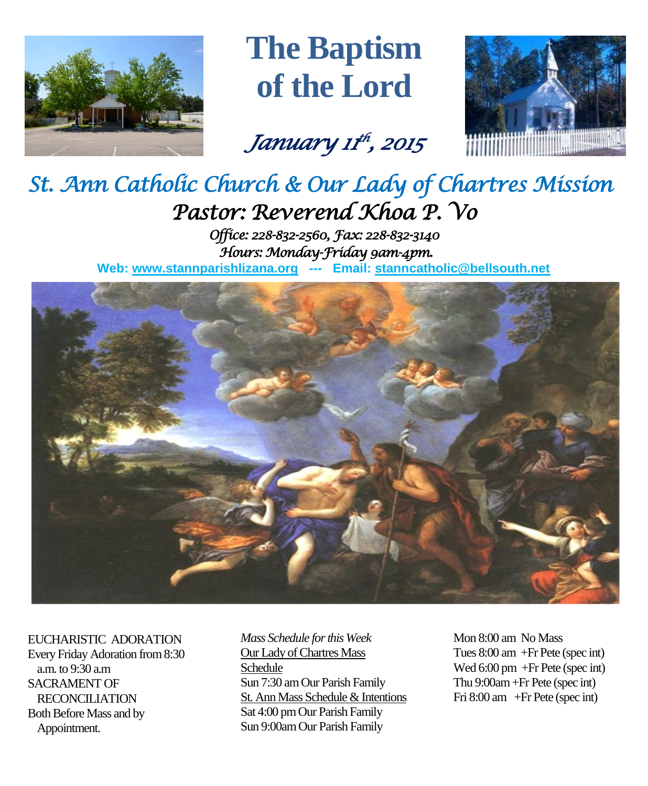

# **The Baptism of the Lord**

*January 11 th , 2015* 



# *St. Ann Catholic Church & Our Lady of Chartres Mission Pastor: Reverend Khoa P. Vo*

*Office: 228-832-2560, Fax: 228-832-3140 Hours: Monday-Friday 9am-4pm.*  **Web: www.stannparishlizana.org --- Email: [stanncatholic@bellsouth.net](mailto:stanncatholic@bellsouth.net)**



EUCHARISTIC ADORATION Every Friday Adoration from 8:30 a.m. to 9:30 a.m SACRAMENT OF RECONCILIATION Both Before Mass and by Appointment.

*Mass Schedule for this Week*  Our Lady of Chartres Mass Schedule Sun 7:30 am Our Parish Family St. Ann Mass Schedule & Intentions Sat 4:00 pm Our Parish Family Sun 9:00am Our Parish Family

Mon 8:00 am No Mass Tues 8:00 am +Fr Pete (spec int) Wed 6:00 pm +Fr Pete (spec int) Thu 9:00am+Fr Pete (spec int) Fri 8:00 am +Fr Pete (spec int)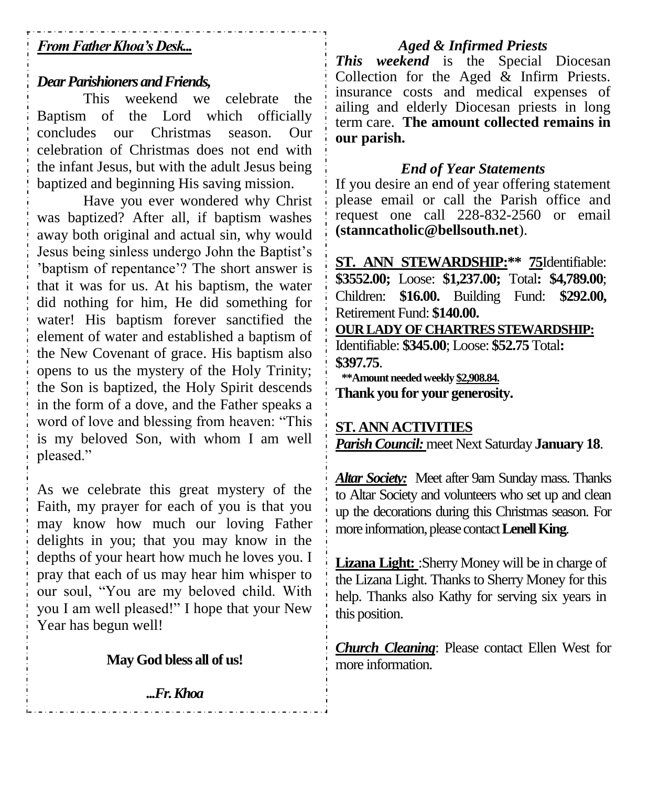# *From Father Khoa's Desk...*

# *Dear Parishioners and Friends,*

This weekend we celebrate the Baptism of the Lord which officially concludes our Christmas season. Our celebration of Christmas does not end with the infant Jesus, but with the adult Jesus being baptized and beginning His saving mission.

Have you ever wondered why Christ was baptized? After all, if baptism washes away both original and actual sin, why would Jesus being sinless undergo John the Baptist's 'baptism of repentance'? The short answer is that it was for us. At his baptism, the water did nothing for him, He did something for water! His baptism forever sanctified the element of water and established a baptism of the New Covenant of grace. His baptism also opens to us the mystery of the Holy Trinity; the Son is baptized, the Holy Spirit descends in the form of a dove, and the Father speaks a word of love and blessing from heaven: "This is my beloved Son, with whom I am well pleased."

As we celebrate this great mystery of the Faith, my prayer for each of you is that you may know how much our loving Father delights in you; that you may know in the depths of your heart how much he loves you. I pray that each of us may hear him whisper to our soul, "You are my beloved child. With you I am well pleased!" I hope that your New Year has begun well!

# **May God bless all of us!**

*...Fr. Khoa*

<u>a da da da da da d</u>a

# *Aged & Infirmed Priests*

*This weekend* is the Special Diocesan Collection for the Aged  $\&$  Infirm Priests. insurance costs and medical expenses of ailing and elderly Diocesan priests in long term care. **The amount collected remains in our parish.**

### *End of Year Statements*

If you desire an end of year offering statement please email or call the Parish office and request one call 228-832-2560 or email **[\(stanncatholic@bellsouth.net](mailto:stanncatholic@bellsouth.net)**).

**ST. ANN STEWARDSHIP:\*\* 75**Identifiable: **\$3552.00;** Loose: **\$1,237.00;** Total**: \$4,789.00**; Children: **\$16.00.** Building Fund: **\$292.00,**  Retirement Fund: **\$140.00. OUR LADY OF CHARTRES STEWARDSHIP:** Identifiable: **\$345.00**; Loose: **\$52.75** Total**: \$397.75**.

 **\*\*Amount needed weekly \$2,908.84. Thank you for your generosity.**

# **ST. ANN ACTIVITIES** *Parish Council:* meet Next Saturday **January 18**.

*Altar Society:* Meet after 9am Sunday mass. Thanks to Altar Society and volunteers who set up and clean up the decorations during this Christmas season. For more information, please contact **Lenell King**.

Lizana Light: :Sherry Money will be in charge of the Lizana Light. Thanks to Sherry Money for this help. Thanks also Kathy for serving six years in this position.

*Church Cleaning*: Please contact Ellen West for more information.